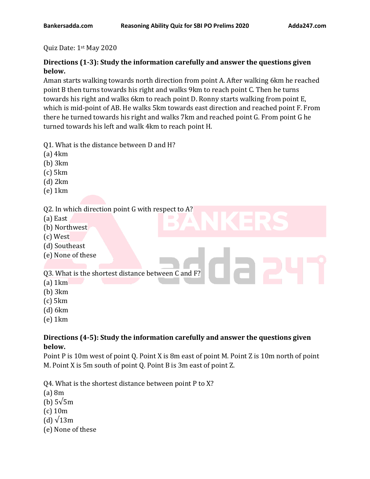#### Quiz Date: 1st May 2020

#### **Directions (1-3): Study the information carefully and answer the questions given below.**

Aman starts walking towards north direction from point A. After walking 6km he reached point B then turns towards his right and walks 9km to reach point C. Then he turns towards his right and walks 6km to reach point D. Ronny starts walking from point E, which is mid-point of AB. He walks 5km towards east direction and reached point F. From there he turned towards his right and walks 7km and reached point G. From point G he turned towards his left and walk 4km to reach point H.

- Q1. What is the distance between D and H?
- (a) 4km
- (b) 3km
- (c) 5km
- (d) 2km
- (e) 1km

#### Q2. In which direction point G with respect to A?

- (a) East
- (b) Northwest
- (c) West
- (d) Southeast
- (e) None of these

#### Q3. What is the shortest distance between C and F?

- (a) 1km
- (b) 3km
- (c) 5km
- (d) 6km
- (e) 1km

#### **Directions (4-5): Study the information carefully and answer the questions given below.**

Point P is 10m west of point Q. Point X is 8m east of point M. Point Z is 10m north of point M. Point X is 5m south of point Q. Point B is 3m east of point Z.

Q4. What is the shortest distance between point P to X?

- (a) 8m
- (b) 5√5m
- (c) 10m
- (d)  $\sqrt{13m}$
- (e) None of these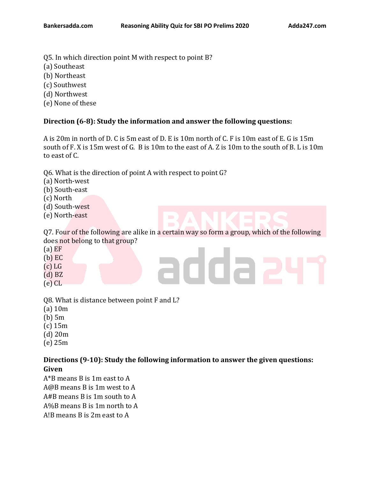- Q5. In which direction point M with respect to point B?
- (a) Southeast
- (b) Northeast
- (c) Southwest
- (d) Northwest
- (e) None of these

#### **Direction (6-8): Study the information and answer the following questions:**

A is 20m in north of D. C is 5m east of D. E is 10m north of C. F is 10m east of E. G is 15m south of F. X is 15m west of G. B is 10m to the east of A. Z is 10m to the south of B. L is 10m to east of C.

Q6. What is the direction of point A with respect to point G?

- (a) North-west
- (b) South-east
- (c) North
- (d) South-west
- (e) North-east

Q7. Four of the following are alike in a certain way so form a group, which of the following does not belong to that group?

addaa

- $(a)$  EF
- (b) EC
- $(c)$  LG
- (d) BZ
- (e) CL

Q8. What is distance between point F and L?

- (a) 10m
- (b) 5m
- (c) 15m
- (d) 20m
- (e) 25m

#### **Directions (9-10): Study the following information to answer the given questions: Given**

A\*B means B is 1m east to A A@B means B is 1m west to A A#B means B is 1m south to A A%B means B is 1m north to A A!B means B is 2m east to A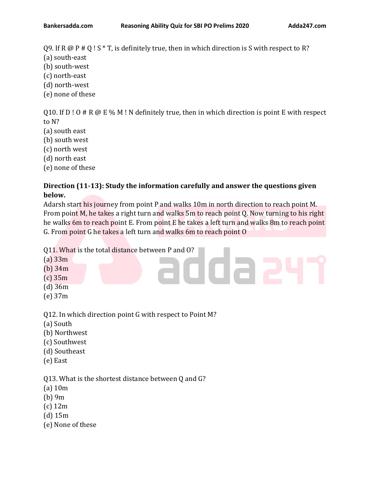Q9. If R  $\omega$  P # Q ! S  $*$  T, is definitely true, then in which direction is S with respect to R?

- (a) south-east
- (b) south-west
- (c) north-east
- (d) north-west
- (e) none of these

Q10. If  $D:O \# R \omega \to \mathcal{C}$  M ! N definitely true, then in which direction is point E with respect to N?

- (a) south east
- (b) south west
- (c) north west
- (d) north east
- (e) none of these

#### **Direction (11-13): Study the information carefully and answer the questions given below.**

Adarsh start his journey from point P and walks 10m in north direction to reach point M. From point M, he takes a right turn and walks 5m to reach point Q. Now turning to his right he walks 6m to reach point E. From point E he takes a left turn and walks 8m to reach point G. From point G he takes a left turn and walks 6m to reach point O

ddaa

Q11. What is the total distance between P and O?

- $(a)$  33 $m$
- (b) 34m
- (c) 35m
- (d) 36m
- (e) 37m

Q12. In which direction point G with respect to Point M?

- (a) South
- (b) Northwest
- (c) Southwest
- (d) Southeast
- (e) East

#### Q13. What is the shortest distance between Q and G?

- (a) 10m
- (b) 9m
- (c) 12m
- (d) 15m
- (e) None of these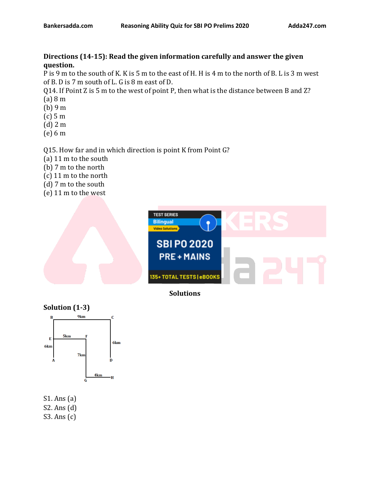#### **Directions (14-15): Read the given information carefully and answer the given question.**

P is 9 m to the south of K. K is 5 m to the east of H. H is 4 m to the north of B. L is 3 m west of B. D is 7 m south of L. G is 8 m east of D.

Q14. If Point Z is 5 m to the west of point P, then what is the distance between B and Z? (a) 8 m

- (b) 9 m
- 
- (c) 5 m
- (d) 2 m
- (e) 6 m

#### Q15. How far and in which direction is point K from Point G?

- (a) 11 m to the south
- (b) 7 m to the north
- (c) 11 m to the north
- (d) 7 m to the south
- (e) 11 m to the west



**Solutions**



S1. Ans (a) S2. Ans (d) S3. Ans (c)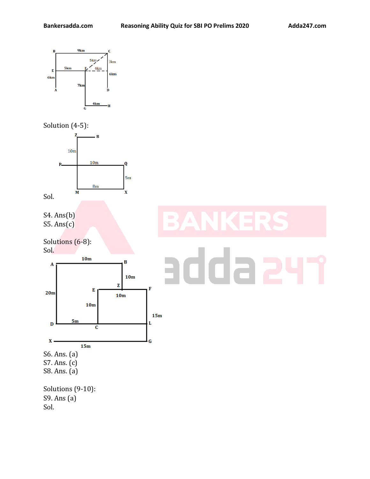





- S6. Ans. (a) S7. Ans. (c)
- S8. Ans. (a)

Solutions (9-10): S9. Ans (a) Sol.

## $\overline{z}$ E da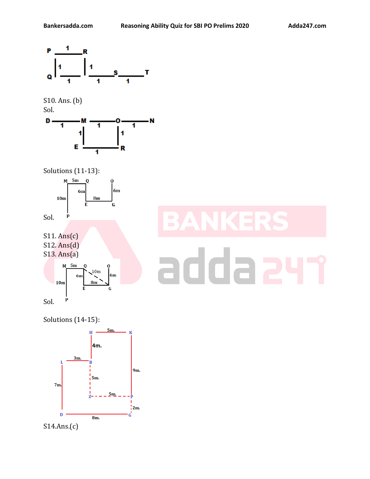

### Solutions (14-15):



S14.Ans.(c)

# 20 da 2